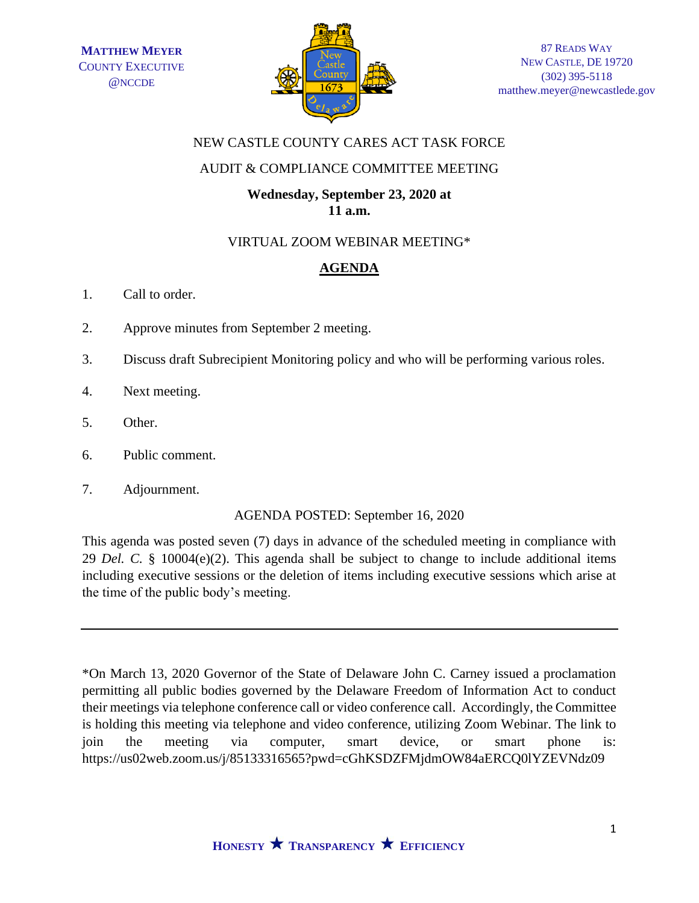

# NEW CASTLE COUNTY CARES ACT TASK FORCE

# AUDIT & COMPLIANCE COMMITTEE MEETING

# **Wednesday, September 23, 2020 at 11 a.m.**

### VIRTUAL ZOOM WEBINAR MEETING\*

# **AGENDA**

- 1. Call to order.
- 2. Approve minutes from September 2 meeting.
- 3. Discuss draft Subrecipient Monitoring policy and who will be performing various roles.
- 4. Next meeting.
- 5. Other.
- 6. Public comment.
- 7. Adjournment.

#### AGENDA POSTED: September 16, 2020

This agenda was posted seven (7) days in advance of the scheduled meeting in compliance with 29 *Del. C.* § 10004(e)(2). This agenda shall be subject to change to include additional items including executive sessions or the deletion of items including executive sessions which arise at the time of the public body's meeting.

\*On March 13, 2020 Governor of the State of Delaware John C. Carney issued a proclamation permitting all public bodies governed by the Delaware Freedom of Information Act to conduct their meetings via telephone conference call or video conference call. Accordingly, the Committee is holding this meeting via telephone and video conference, utilizing Zoom Webinar. The link to join the meeting via computer, smart device, or smart phone is: https://us02web.zoom.us/j/85133316565?pwd=cGhKSDZFMjdmOW84aERCQ0lYZEVNdz09